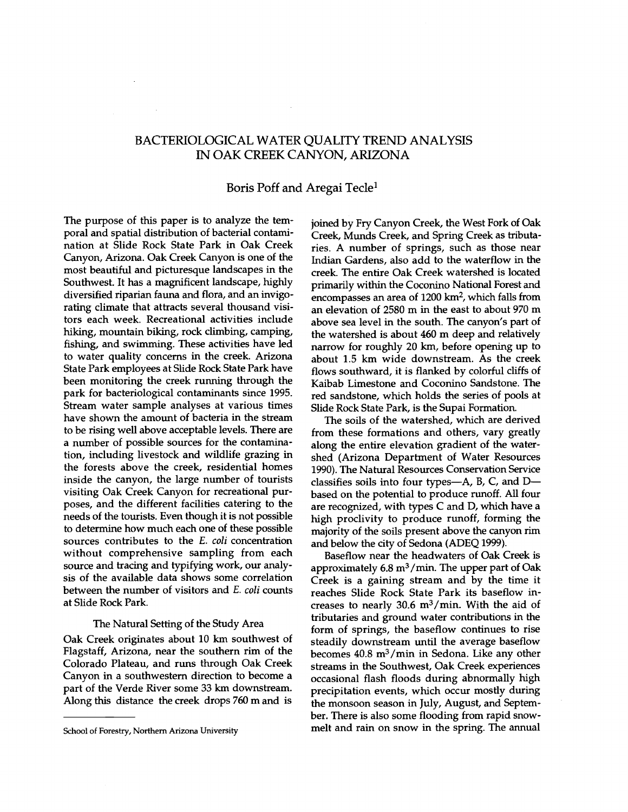# BACTERIOLOGICAL WATER QUALITY TREND ANALYSIS IN OAK CREEK CANYON, ARIZONA

## Boris Poff and Aregai Tecle<sup>1</sup>

The purpose of this paper is to analyze the temporal and spatial distribution of bacterial contamination at Slide Rock State Park in Oak Creek Canyon, Arizona. Oak Creek Canyon is one of the most beautiful and picturesque landscapes in the Southwest. It has a magnificent landscape, highly diversified riparian fauna and flora, and an invigorating climate that attracts several thousand visitors each week. Recreational activities include hiking, mountain biking, rock climbing, camping, fishing, and swimming. These activities have led to water quality concerns in the creek. Arizona State Park employees at Slide Rock State Park have been monitoring the creek running through the park for bacteriological contaminants since 1995. Stream water sample analyses at various times have shown the amount of bacteria in the stream to be rising well above acceptable levels. There are a number of possible sources for the contamination, including livestock and wildlife grazing in the forests above the creek, residential homes inside the canyon, the large number of tourists visiting Oak Creek Canyon for recreational purposes, and the different facilities catering to the needs of the tourists. Even though it is not possible to determine how much each one of these possible sources contributes to the E. coli concentration without comprehensive sampling from each source and tracing and typifying work, our analysis of the available data shows some correlation between the number of visitors and E. coli counts at Slide Rock Park.

## The Natural Setting of the Study Area

Oak Creek originates about 10 km southwest of Flagstaff, Arizona, near the southern rim of the Colorado Plateau, and runs through Oak Creek Canyon in a southwestern direction to become a part of the Verde River some 33 km downstream. Along this distance the creek drops 760 m and is joined by Fry Canyon Creek, the West Fork of Oak Creek, Munds Creek, and Spring Creek as tributaries. A number of springs, such as those near Indian Gardens, also add to the waterflow in the creek. The entire Oak Creek watershed is located primarily within the Coconino National Forest and encompasses an area of 1200 km<sup>2</sup>, which falls from an elevation of 2580 m in the east to about 970 m above sea level in the south. The canyon's part of the watershed is about 460 m deep and relatively narrow for roughly 20 km, before opening up to about 1.5 km wide downstream. As the creek flows southward, it is flanked by colorful cliffs of Kaibab Limestone and Coconino Sandstone. The red sandstone, which holds the series of pools at Slide Rock State Park, is the Supai Formation.

The soils of the watershed, which are derived from these formations and others, vary greatly along the entire elevation gradient of the watershed (Arizona Department of Water Resources 1990). The Natural Resources Conservation Service classifies soils into four types—A, B, C, and  $D$ based on the potential to produce runoff. All four are recognized, with types C and D, which have a high proclivity to produce runoff, forming the majority of the soils present above the canyon rim and below the city of Sedona (ADEQ 1999).

Baseflow near the headwaters of Oak Creek is approximately  $6.8 \text{ m}^3/\text{min}$ . The upper part of Oak Creek is a gaining stream and by the time it reaches Slide Rock State Park its baseflow increases to nearly 30.6  $m^3/m$ in. With the aid of tributaries and ground water contributions in the form of springs, the baseflow continues to rise steadily downstream until the average baseflow becomes 40.8 m3 /min in Sedona. Like any other streams in the Southwest, Oak Creek experiences occasional flash floods during abnormally high precipitation events, which occur mostly during the monsoon season in July, August, and September. There is also some flooding from rapid snowmelt and rain on snow in the spring. The annual

School of Forestry, Northern Arizona University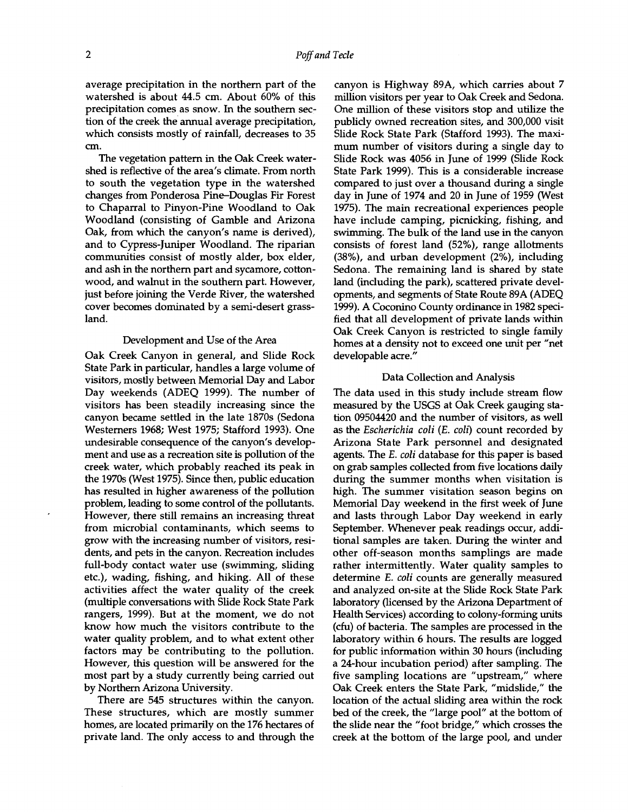average precipitation in the northern part of the watershed is about 44.5 cm. About 60% of this precipitation comes as snow. In the southern section of the creek the annual average precipitation, which consists mostly of rainfall, decreases to 35 cm.

The vegetation pattern in the Oak Creek watershed is reflective of the area's climate. From north to south the vegetation type in the watershed changes from Ponderosa Pine-Douglas Fir Forest to Chaparral to Pinyon -Pine Woodland to Oak Woodland (consisting of Gamble and Arizona Oak, from which the canyon's name is derived), and to Cypress-Juniper Woodland. The riparian communities consist of mostly alder, box elder, and ash in the northern part and sycamore, cottonwood, and walnut in the southern part. However, just before joining the Verde River, the watershed cover becomes dominated by a semi -desert grassland.

#### Development and Use of the Area

Oak Creek Canyon in general, and Slide Rock State Park in particular, handles a large volume of visitors, mostly between Memorial Day and Labor Day weekends (ADEQ 1999). The number of visitors has been steadily increasing since the canyon became settled in the late 1870s (Sedona Westerners 1968; West 1975; Stafford 1993). One undesirable consequence of the canyon's development and use as a recreation site is pollution of the creek water, which probably reached its peak in the 1970s (West 1975). Since then, public education has resulted in higher awareness of the pollution problem, leading to some control of the pollutants. However, there still remains an increasing threat from microbial contaminants, which seems to grow with the increasing number of visitors, residents, and pets in the canyon. Recreation includes full-body contact water use (swimming, sliding etc.), wading, fishing, and hiking. All of these activities affect the water quality of the creek (multiple conversations with Slide Rock State Park rangers, 1999). But at the moment, we do not know how much the visitors contribute to the water quality problem, and to what extent other factors may be contributing to the pollution. However, this question will be answered for the most part by a study currently being carried out by Northern Arizona University.

There are 545 structures within the canyon. These structures, which are mostly summer homes, are located primarily on the 176 hectares of private land. The only access to and through the

canyon is Highway 89A, which carries about 7 million visitors per year to Oak Creek and Sedona. One million of these visitors stop and utilize the publicly owned recreation sites, and 300,000 visit Slide Rock State Park (Stafford 1993). The maximum number of visitors during a single day to Slide Rock was 4056 in June of 1999 (Slide Rock State Park 1999). This is a considerable increase compared to just over a thousand during a single day in June of 1974 and 20 in June of 1959 (West 1975). The main recreational experiences people have include camping, picnicking, fishing, and swimming. The bulk of the land use in the canyon consists of forest land (52%), range allotments  $(38%)$ , and urban development  $(2%)$ , including Sedona. The remaining land is shared by state land (including the park), scattered private developments, and segments of State Route 89A (ADEQ 1999). A Coconino County ordinance in 1982 specified that all development of private lands within Oak Creek Canyon is restricted to single family homes at a density not to exceed one unit per "net developable acre."

## Data Collection and Analysis

The data used in this study include stream flow measured by the USGS at Oak Creek gauging station 09504420 and the number of visitors, as well as the Escherichia coli (E. coli) count recorded by Arizona State Park personnel and designated agents. The E. coli database for this paper is based on grab samples collected from five locations daily during the summer months when visitation is high. The summer visitation season begins on Memorial Day weekend in the first week of June and lasts through Labor Day weekend in early September. Whenever peak readings occur, additional samples are taken. During the winter and other off-season months samplings are made rather intermittently. Water quality samples to determine E. coli counts are generally measured and analyzed on-site at the Slide Rock State Park laboratory (licensed by the Arizona Department of Health Services) according to colony -forming units (cfu) of bacteria. The samples are processed in the laboratory within 6 hours. The results are logged for public information within 30 hours (including a 24 -hour incubation period) after sampling. The five sampling locations are "upstream," where Oak Creek enters the State Park, "midslide," the location of the actual sliding area within the rock bed of the creek, the "large pool" at the bottom of the slide near the "foot bridge," which crosses the creek at the bottom of the large pool, and under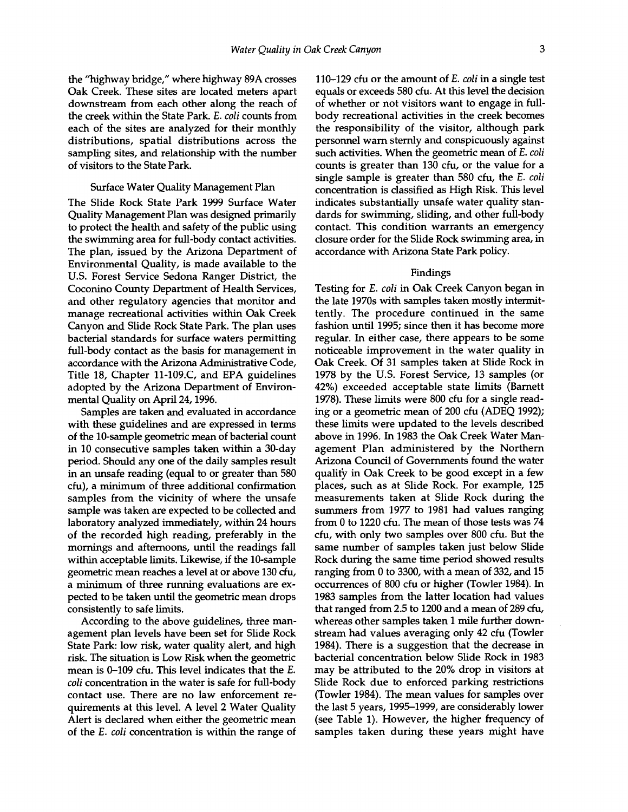the "highway bridge," where highway 89A crosses Oak Creek. These sites are located meters apart downstream from each other along the reach of the creek within the State Park. E. coli counts from each of the sites are analyzed for their monthly distributions, spatial distributions across the sampling sites, and relationship with the number of visitors to the State Park.

## Surface Water Quality Management Plan

The Slide Rock State Park 1999 Surface Water Quality Management Plan was designed primarily to protect the health and safety of the public using the swimming area for full -body contact activities. The plan, issued by the Arizona Department of Environmental Quality, is made available to the U.S. Forest Service Sedona Ranger District, the Coconino County Department of Health Services, and other regulatory agencies that monitor and manage recreational activities within Oak Creek Canyon and Slide Rock State Park. The plan uses bacterial standards for surface waters permitting full-body contact as the basis for management in accordance with the Arizona Administrative Code, Title 18, Chapter 11-109.C, and EPA guidelines adopted by the Arizona Department of Environmental Quality on April 24, 1996.

Samples are taken and evaluated in accordance with these guidelines and are expressed in terms of the 10- sample geometric mean of bacterial count in 10 consecutive samples taken within a 30 -day period. Should any one of the daily samples result in an unsafe reading (equal to or greater than 580 cfu), a minimum of three additional confirmation samples from the vicinity of where the unsafe sample was taken are expected to be collected and laboratory analyzed immediately, within 24 hours of the recorded high reading, preferably in the mornings and afternoons, until the readings fall within acceptable limits. Likewise, if the 10-sample geometric mean reaches a level at or above 130 cfu, a minimum of three running evaluations are expected to be taken until the geometric mean drops consistently to safe limits.

According to the above guidelines, three management plan levels have been set for Slide Rock State Park: low risk, water quality alert, and high risk. The situation is Low Risk when the geometric mean is  $0-109$  cfu. This level indicates that the E. coli concentration in the water is safe for full-body contact use. There are no law enforcement requirements at this level. A level 2 Water Quality Alert is declared when either the geometric mean of the E. coli concentration is within the range of 110–129 cfu or the amount of  $E$ . *coli* in a single test equals or exceeds 580 cfu. At this level the decision of whether or not visitors want to engage in fullbody recreational activities in the creek becomes the responsibility of the visitor, although park personnel warn sternly and conspicuously against such activities. When the geometric mean of E. coli counts is greater than 130 cfu, or the value for a single sample is greater than 580 cfu, the E. coli concentration is classified as High Risk. This level indicates substantially unsafe water quality standards for swimming, sliding, and other full-body contact. This condition warrants an emergency closure order for the Slide Rock swimming area, in accordance with Arizona State Park policy.

#### Findings

Testing for E. coli in Oak Creek Canyon began in the late 1970s with samples taken mostly intermittently. The procedure continued in the same fashion until 1995; since then it has become more regular. In either case, there appears to be some noticeable improvement in the water quality in Oak Creek. Of 31 samples taken at Slide Rock in 1978 by the U.S. Forest Service, 13 samples (or 42 %) exceeded acceptable state limits (Barnett 1978). These limits were 800 cfu for a single reading or a geometric mean of 200 cfu (ADEQ 1992); these limits were updated to the levels described above in 1996. In 1983 the Oak Creek Water Management Plan administered by the Northern Arizona Council of Governments found the water quality in Oak Creek to be good except in a few places, such as at Slide Rock. For example, 125 measurements taken at Slide Rock during the summers from 1977 to 1981 had values ranging from 0 to 1220 cfu. The mean of those tests was 74 cfu, with only two samples over 800 cfu. But the same number of samples taken just below Slide Rock during the same time period showed results ranging from 0 to 3300, with a mean of 332, and 15 occurrences of 800 cfu or higher (Towler 1984). In 1983 samples from the latter location had values that ranged from 2.5 to 1200 and a mean of 289 cfu, whereas other samples taken 1 mile further downstream had values averaging only 42 cfu (Towler 1984). There is a suggestion that the decrease in bacterial concentration below Slide Rock in 1983 may be attributed to the 20% drop in visitors at Slide Rock due to enforced parking restrictions (Towler 1984). The mean values for samples over the last 5 years, 1995–1999, are considerably lower (see Table 1). However, the higher frequency of samples taken during these years might have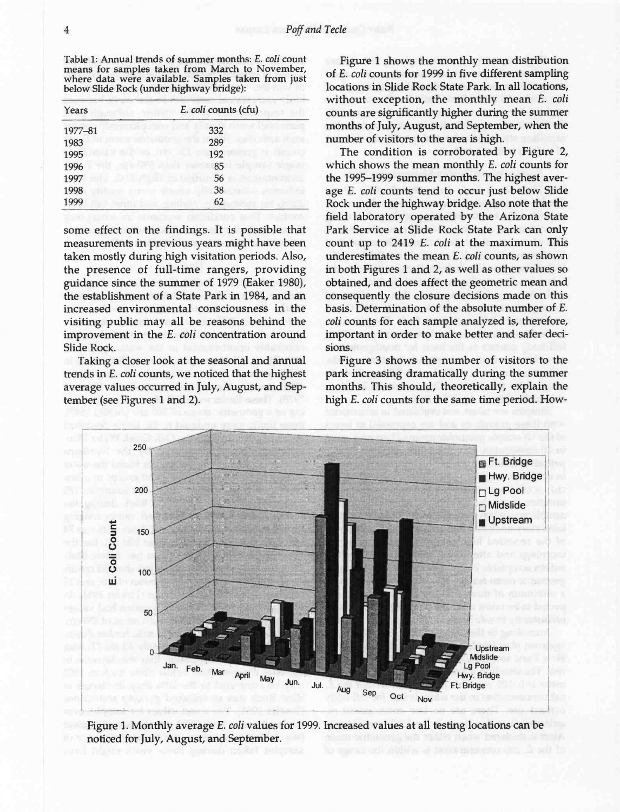Table 1: Annual trends of summer months: E. coli count means for samples taken from March to November, where data were available. Samples taken from just below Slide Rock (under highway bridge):

| Years   | E. coli counts (cfu) |
|---------|----------------------|
| 1977-81 | 332                  |
| 1983    | 289                  |
| 1995    | 192                  |
| 1996    | 85                   |
| 1997    | 56                   |
| 1998    | 38                   |
| 1999    | 62                   |

some effect on the findings. It is possible that measurements in previous years might have been taken mostly during high visitation periods. Also, the presence of full-time rangers, providing guidance since the summer of 1979 (Eaker 1980), the establishment of a State Park in 1984, and an increased environmental consciousness in the visiting public may all be reasons behind the improvement in the E. coli concentration around Slide Rock.

Taking a closer look at the seasonal and annual trends in E. coli counts, we noticed that the highest average values occurred in July, August, and September (see Figures 1 and 2).

Figure 1 shows the monthly mean distribution of E. coli counts for 1999 in five different sampling locations in Slide Rock State Park. In all locations, without exception, the monthly mean E. coli counts are significantly higher during the summer months of July, August, and September, when the number of visitors to the area is high.

The condition is corroborated by Figure 2, which shows the mean monthly E. coli counts for the 1995–1999 summer months. The highest average E. coli counts tend to occur just below Slide Rock under the highway bridge. Also note that the field laboratory operated by the Arizona State Park Service at Slide Rock State Park can only count up to 2419 E. coli at the maximum. This underestimates the mean E. coli counts, as shown in both Figures 1 and 2, as well as other values so obtained, and does affect the geometric mean and consequently the closure decisions made on this basis. Determination of the absolute number of E. coli counts for each sample analyzed is, therefore, important in order to make better and safer decisions.

Figure 3 shows the number of visitors to the park increasing dramatically during the summer months. This should, theoretically, explain the high E. coli counts for the same time period. How-



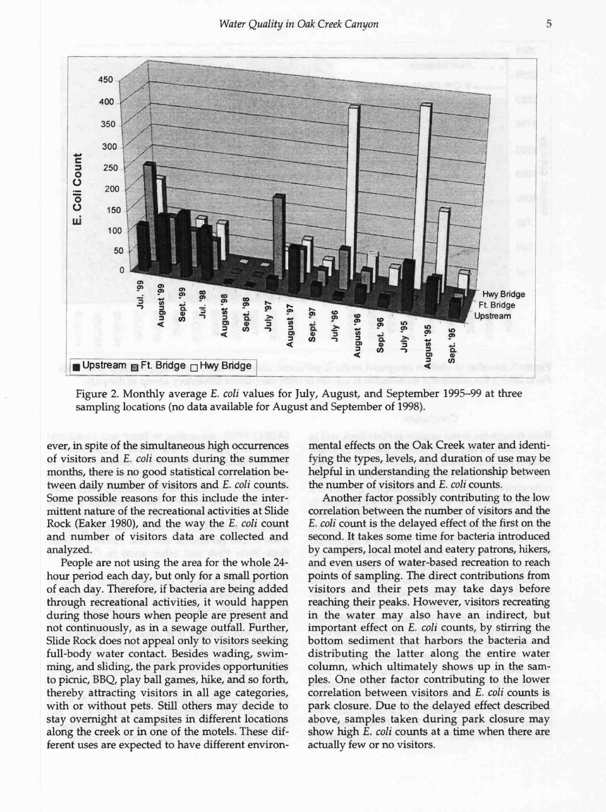

Figure 2. Monthly average E. coli values for July, August, and September 1995–99 at three sampling locations (no data available for August and September of 1998).

ever, in spite of the simultaneous high occurrences of visitors and E. coli counts during the summer months, there is no good statistical correlation between daily number of visitors and E. coli counts. Some possible reasons for this include the intermittent nature of the recreational activities at Slide Rock (Eaker 1980), and the way the E. coli count and number of visitors data are collected and analyzed.

People are not using the area for the whole 24 hour period each day, but only for a small portion of each day. Therefore, if bacteria are being added through recreational activities, it would happen during those hours when people are present and not continuously, as in a sewage outfall. Further, Slide Rock does not appeal only to visitors seeking full-body water contact. Besides wading, swimming, and sliding, the park provides opportunities to picnic, BBQ, play ball games, hike, and so forth, thereby attracting visitors in all age categories, with or without pets. Still others may decide to stay overnight at campsites in different locations along the creek or in one of the motels. These different uses are expected to have different environ-

mental effects on the Oak Creek water and identifying the types, levels, and duration of use may be helpful in understanding the relationship between the number of visitors and E. coli counts.

Another factor possibly contributing to the low correlation between the number of visitors and the E. coli count is the delayed effect of the first on the second. It takes some time for bacteria introduced by campers, local motel and eatery patrons, hikers, and even users of water -based recreation to reach points of sampling. The direct contributions from visitors and their pets may take days before reaching their peaks. However, visitors recreating in the water may also have an indirect, but important effect on E. coli counts, by stirring the bottom sediment that harbors the bacteria and distributing the latter along the entire water column, which ultimately shows up in the samples. One other factor contributing to the lower correlation between visitors and E. coli counts is park closure. Due to the delayed effect described above, samples taken during park closure may show high E. coli counts at a time when there are actually few or no visitors.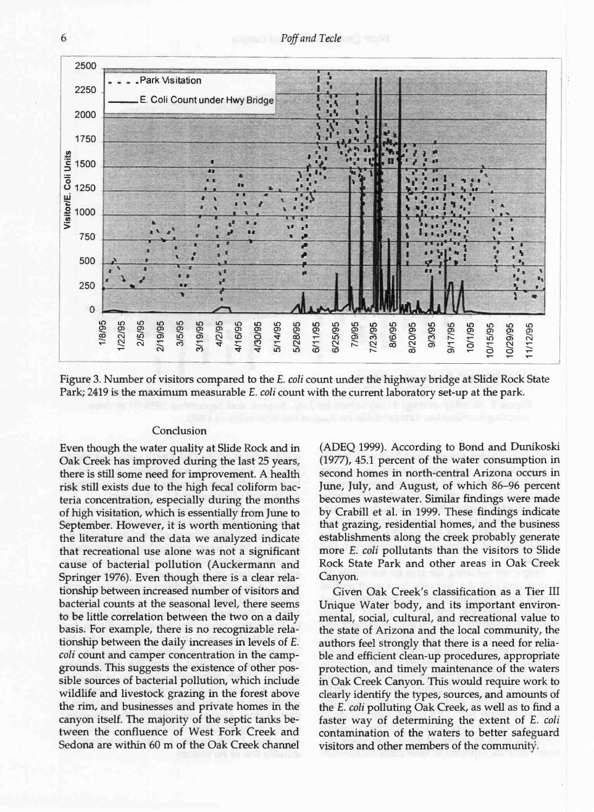Poff and Tecle



Figure 3. Number of visitors compared to the E. coli count under the highway bridge at Slide Rock State Park; 2419 is the maximum measurable E. coli count with the current laboratory set-up at the park.

## Conclusion

Even though the water quality at Slide Rock and in Oak Creek has improved during the last 25 years, there is still some need for improvement. A health risk still exists due to the high fecal coliform bacteria concentration, especially during the months of high visitation, which is essentially from June to September. However, it is worth mentioning that the literature and the data we analyzed indicate that recreational use alone was not a significant cause of bacterial pollution (Auckermann and Springer 1976). Even though there is a clear relationship between increased number of visitors and bacterial counts at the seasonal level, there seems to be little correlation between the two on a daily basis. For example, there is no recognizable relationship between the daily increases in levels of E. coli count and camper concentration in the campgrounds. This suggests the existence of other possible sources of bacterial pollution, which include wildlife and livestock grazing in the forest above the rim, and businesses and private homes in the canyon itself. The majority of the septic tanks between the confluence of West Fork Creek and Sedona are within 60 m of the Oak Creek channel

(ADEQ 1999). According to Bond and Dunikoski (1977), 45.1 percent of the water consumption in second homes in north-central Arizona occurs in June, July, and August, of which 86-96 percent becomes wastewater. Similar findings were made by Crabill et al. in 1999. These findings indicate that grazing, residential homes, and the business establishments along the creek probably generate more E. coli pollutants than the visitors to Slide Rock State Park and other areas in Oak Creek Canyon.

Given Oak Creek's classification as a Tier III Unique Water body, and its important environmental, social, cultural, and recreational value to the state of Arizona and the local community, the authors feel strongly that there is a need for reliable and efficient clean-up procedures, appropriate protection, and timely maintenance of the waters in Oak Creek Canyon. This would require work to clearly identify the types, sources, and amounts of the E. coli polluting Oak Creek, as well as to find a faster way of determining the extent of E. coli contamination of the waters to better safeguard visitors and other members of the community.

6